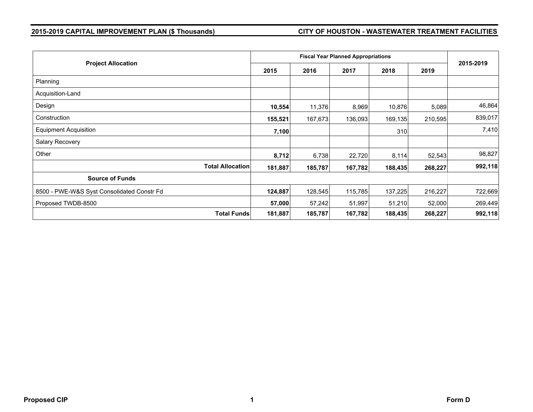# **2015-2019 CAPITAL IMPROVEMENT PLAN (\$ Thousands) CITY OF HOUSTON - WASTEWATER TREATMENT FACILITIES**

| <b>Project Allocation</b>                  |         | <b>Fiscal Year Planned Appropriations</b> |         |         |         |           |  |
|--------------------------------------------|---------|-------------------------------------------|---------|---------|---------|-----------|--|
|                                            | 2015    | 2016                                      | 2017    | 2018    | 2019    | 2015-2019 |  |
| Planning                                   |         |                                           |         |         |         |           |  |
| Acquisition-Land                           |         |                                           |         |         |         |           |  |
| Design                                     | 10,554  | 11,376                                    | 8,969   | 10,876  | 5,089   | 46,864    |  |
| Construction                               | 155,521 | 167,673                                   | 136,093 | 169,135 | 210,595 | 839,017   |  |
| <b>Equipment Acquisition</b>               | 7,100   |                                           |         | 310     |         | 7,410     |  |
| Salary Recovery                            |         |                                           |         |         |         |           |  |
| Other                                      | 8,712   | 6,738                                     | 22,720  | 8,114   | 52,543  | 98,827    |  |
| <b>Total Allocation</b>                    | 181,887 | 185,787                                   | 167,782 | 188,435 | 268,227 | 992,118   |  |
| <b>Source of Funds</b>                     |         |                                           |         |         |         |           |  |
| 8500 - PWE-W&S Syst Consolidated Constr Fd | 124,887 | 128,545                                   | 115,785 | 137,225 | 216,227 | 722,669   |  |
| Proposed TWDB-8500                         | 57,000  | 57,242                                    | 51,997  | 51,210  | 52,000  | 269,449   |  |
| <b>Total Funds</b>                         | 181,887 | 185,787                                   | 167,782 | 188,435 | 268,227 | 992,118   |  |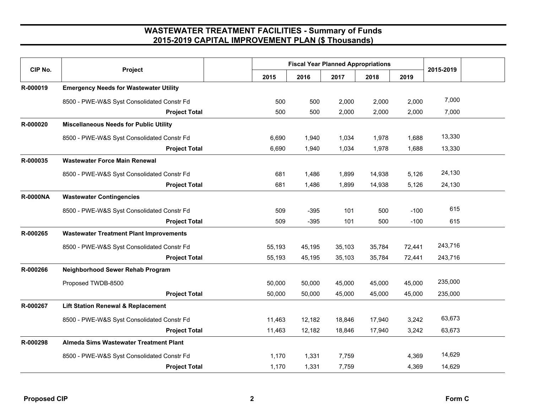# **WASTEWATER TREATMENT FACILITIES - Summary of Funds 2015-2019 CAPITAL IMPROVEMENT PLAN (\$ Thousands)**

| CIP No.         | Project                                        | <b>Fiscal Year Planned Appropriations</b> |        |        |        |        |           |  |
|-----------------|------------------------------------------------|-------------------------------------------|--------|--------|--------|--------|-----------|--|
|                 |                                                | 2015                                      | 2016   | 2017   | 2018   | 2019   | 2015-2019 |  |
| R-000019        | <b>Emergency Needs for Wastewater Utility</b>  |                                           |        |        |        |        |           |  |
|                 | 8500 - PWE-W&S Syst Consolidated Constr Fd     | 500                                       | 500    | 2,000  | 2,000  | 2,000  | 7,000     |  |
|                 | <b>Project Total</b>                           | 500                                       | 500    | 2,000  | 2,000  | 2,000  | 7,000     |  |
| R-000020        | <b>Miscellaneous Needs for Public Utility</b>  |                                           |        |        |        |        |           |  |
|                 | 8500 - PWE-W&S Syst Consolidated Constr Fd     | 6,690                                     | 1,940  | 1,034  | 1,978  | 1,688  | 13,330    |  |
|                 | <b>Project Total</b>                           | 6,690                                     | 1,940  | 1,034  | 1,978  | 1,688  | 13,330    |  |
| R-000035        | <b>Wastewater Force Main Renewal</b>           |                                           |        |        |        |        |           |  |
|                 | 8500 - PWE-W&S Syst Consolidated Constr Fd     | 681                                       | 1,486  | 1,899  | 14,938 | 5,126  | 24,130    |  |
|                 | <b>Project Total</b>                           | 681                                       | 1,486  | 1,899  | 14,938 | 5,126  | 24,130    |  |
| <b>R-0000NA</b> | <b>Wastewater Contingencies</b>                |                                           |        |        |        |        |           |  |
|                 | 8500 - PWE-W&S Syst Consolidated Constr Fd     | 509                                       | $-395$ | 101    | 500    | $-100$ | 615       |  |
|                 | <b>Project Total</b>                           | 509                                       | $-395$ | 101    | 500    | $-100$ | 615       |  |
| R-000265        | <b>Wastewater Treatment Plant Improvements</b> |                                           |        |        |        |        |           |  |
|                 | 8500 - PWE-W&S Syst Consolidated Constr Fd     | 55,193                                    | 45,195 | 35,103 | 35,784 | 72,441 | 243,716   |  |
|                 | <b>Project Total</b>                           | 55,193                                    | 45,195 | 35,103 | 35,784 | 72,441 | 243,716   |  |
| R-000266        | <b>Neighborhood Sewer Rehab Program</b>        |                                           |        |        |        |        |           |  |
|                 | Proposed TWDB-8500                             | 50,000                                    | 50,000 | 45,000 | 45,000 | 45,000 | 235,000   |  |
|                 | <b>Project Total</b>                           | 50,000                                    | 50,000 | 45,000 | 45,000 | 45,000 | 235,000   |  |
| R-000267        | <b>Lift Station Renewal &amp; Replacement</b>  |                                           |        |        |        |        |           |  |
|                 | 8500 - PWE-W&S Syst Consolidated Constr Fd     | 11,463                                    | 12,182 | 18,846 | 17,940 | 3,242  | 63,673    |  |
|                 | <b>Project Total</b>                           | 11,463                                    | 12,182 | 18,846 | 17,940 | 3,242  | 63,673    |  |
| R-000298        | Almeda Sims Wastewater Treatment Plant         |                                           |        |        |        |        |           |  |
|                 | 8500 - PWE-W&S Syst Consolidated Constr Fd     | 1,170                                     | 1,331  | 7,759  |        | 4,369  | 14,629    |  |
|                 | <b>Project Total</b>                           | 1,170                                     | 1,331  | 7,759  |        | 4,369  | 14,629    |  |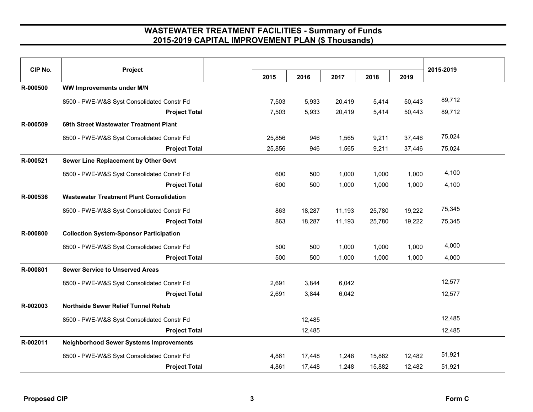## **WASTEWATER TREATMENT FACILITIES - Summary of Funds 2015-2019 CAPITAL IMPROVEMENT PLAN (\$ Thousands)**

| CIP No.  | Project                                         | 2015   | 2016   | 2017   | 2018   | 2019   | 2015-2019 |  |
|----------|-------------------------------------------------|--------|--------|--------|--------|--------|-----------|--|
| R-000500 | <b>WW Improvements under M/N</b>                |        |        |        |        |        |           |  |
|          |                                                 |        |        |        |        |        |           |  |
|          | 8500 - PWE-W&S Syst Consolidated Constr Fd      | 7,503  | 5,933  | 20,419 | 5,414  | 50,443 | 89,712    |  |
|          | <b>Project Total</b>                            | 7,503  | 5,933  | 20,419 | 5,414  | 50,443 | 89,712    |  |
| R-000509 | 69th Street Wastewater Treatment Plant          |        |        |        |        |        |           |  |
|          | 8500 - PWE-W&S Syst Consolidated Constr Fd      | 25,856 | 946    | 1,565  | 9,211  | 37,446 | 75,024    |  |
|          | <b>Project Total</b>                            | 25,856 | 946    | 1,565  | 9,211  | 37,446 | 75,024    |  |
| R-000521 | Sewer Line Replacement by Other Govt            |        |        |        |        |        |           |  |
|          | 8500 - PWE-W&S Syst Consolidated Constr Fd      | 600    | 500    | 1,000  | 1,000  | 1,000  | 4,100     |  |
|          | <b>Project Total</b>                            | 600    | 500    | 1,000  | 1,000  | 1,000  | 4,100     |  |
| R-000536 | <b>Wastewater Treatment Plant Consolidation</b> |        |        |        |        |        |           |  |
|          | 8500 - PWE-W&S Syst Consolidated Constr Fd      | 863    | 18,287 | 11,193 | 25,780 | 19,222 | 75,345    |  |
|          | <b>Project Total</b>                            | 863    | 18,287 | 11,193 | 25,780 | 19,222 | 75,345    |  |
| R-000800 | <b>Collection System-Sponsor Participation</b>  |        |        |        |        |        |           |  |
|          | 8500 - PWE-W&S Syst Consolidated Constr Fd      | 500    | 500    | 1,000  | 1,000  | 1,000  | 4,000     |  |
|          | <b>Project Total</b>                            | 500    | 500    | 1,000  | 1,000  | 1,000  | 4,000     |  |
| R-000801 | <b>Sewer Service to Unserved Areas</b>          |        |        |        |        |        |           |  |
|          | 8500 - PWE-W&S Syst Consolidated Constr Fd      | 2,691  | 3,844  | 6,042  |        |        | 12,577    |  |
|          | <b>Project Total</b>                            | 2,691  | 3,844  | 6,042  |        |        | 12,577    |  |
| R-002003 | Northside Sewer Relief Tunnel Rehab             |        |        |        |        |        |           |  |
|          | 8500 - PWE-W&S Syst Consolidated Constr Fd      |        | 12,485 |        |        |        | 12,485    |  |
|          | <b>Project Total</b>                            |        | 12,485 |        |        |        | 12,485    |  |
| R-002011 | <b>Neighborhood Sewer Systems Improvements</b>  |        |        |        |        |        |           |  |
|          | 8500 - PWE-W&S Syst Consolidated Constr Fd      | 4,861  | 17,448 | 1,248  | 15,882 | 12,482 | 51,921    |  |
|          | <b>Project Total</b>                            | 4,861  | 17,448 | 1,248  | 15,882 | 12,482 | 51,921    |  |